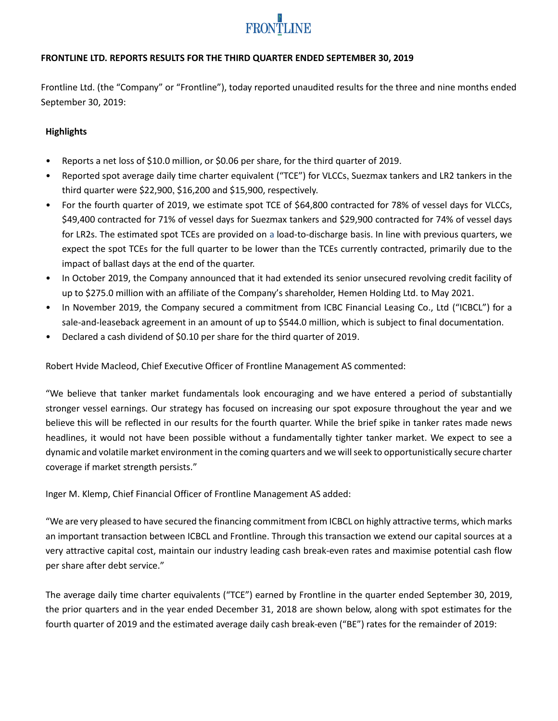

#### **FRONTLINE LTD. REPORTS RESULTS FOR THE THIRD QUARTER ENDED SEPTEMBER 30, 2019**

Frontline Ltd. (the "Company" or "Frontline"), today reported unaudited results for the three and nine months ended September 30, 2019:

#### **Highlights**

- Reports a net loss of \$10.0 million, or \$0.06 per share, for the third quarter of 2019.
- Reported spot average daily time charter equivalent ("TCE") for VLCCs, Suezmax tankers and LR2 tankers in the third quarter were \$22,900, \$16,200 and \$15,900, respectively.
- For the fourth quarter of 2019, we estimate spot TCE of \$64,800 contracted for 78% of vessel days for VLCCs, \$49,400 contracted for 71% of vessel days for Suezmax tankers and \$29,900 contracted for 74% of vessel days for LR2s. The estimated spot TCEs are provided on a load-to-discharge basis. In line with previous quarters, we expect the spot TCEs for the full quarter to be lower than the TCEs currently contracted, primarily due to the impact of ballast days at the end of the quarter.
- In October 2019, the Company announced that it had extended its senior unsecured revolving credit facility of up to \$275.0 million with an affiliate of the Company's shareholder, Hemen Holding Ltd. to May 2021.
- In November 2019, the Company secured a commitment from ICBC Financial Leasing Co., Ltd ("ICBCL") for a sale-and-leaseback agreement in an amount of up to \$544.0 million, which is subject to final documentation.
- Declared a cash dividend of \$0.10 per share for the third quarter of 2019.

Robert Hvide Macleod, Chief Executive Officer of Frontline Management AS commented:

"We believe that tanker market fundamentals look encouraging and we have entered a period of substantially stronger vessel earnings. Our strategy has focused on increasing our spot exposure throughout the year and we believe this will be reflected in our results for the fourth quarter. While the brief spike in tanker rates made news headlines, it would not have been possible without a fundamentally tighter tanker market. We expect to see a dynamic and volatile market environment in the coming quarters and we will seek to opportunistically secure charter coverage if market strength persists."

Inger M. Klemp, Chief Financial Officer of Frontline Management AS added:

"We are very pleased to have secured the financing commitment from ICBCL on highly attractive terms, which marks an important transaction between ICBCL and Frontline. Through this transaction we extend our capital sources at a very attractive capital cost, maintain our industry leading cash break-even rates and maximise potential cash flow per share after debt service."

The average daily time charter equivalents ("TCE") earned by Frontline in the quarter ended September 30, 2019, the prior quarters and in the year ended December 31, 2018 are shown below, along with spot estimates for the fourth quarter of 2019 and the estimated average daily cash break-even ("BE") rates for the remainder of 2019: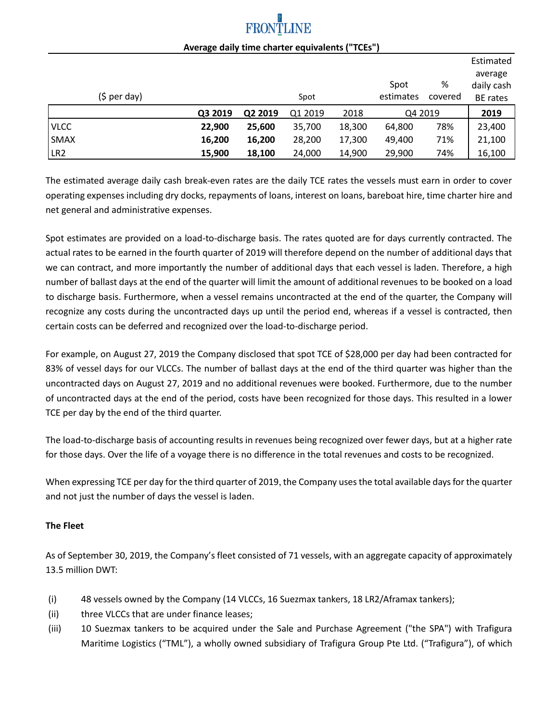# **Average daily time charter equivalents ("TCEs")**

|                 |         |         |         |        |           |         | Estimated  |
|-----------------|---------|---------|---------|--------|-----------|---------|------------|
|                 |         |         |         |        |           |         | average    |
|                 |         |         |         |        | Spot      | %       | daily cash |
| $(5$ per day)   |         |         | Spot    |        | estimates | covered | BE rates   |
|                 | Q3 2019 | Q2 2019 | Q1 2019 | 2018   | Q4 2019   |         | 2019       |
| <b>VLCC</b>     | 22,900  | 25,600  | 35,700  | 18,300 | 64,800    | 78%     | 23,400     |
| <b>SMAX</b>     | 16,200  | 16,200  | 28,200  | 17,300 | 49,400    | 71%     | 21,100     |
| LR <sub>2</sub> | 15,900  | 18,100  | 24,000  | 14,900 | 29,900    | 74%     | 16,100     |

The estimated average daily cash break-even rates are the daily TCE rates the vessels must earn in order to cover operating expenses including dry docks, repayments of loans, interest on loans, bareboat hire, time charter hire and net general and administrative expenses.

Spot estimates are provided on a load-to-discharge basis. The rates quoted are for days currently contracted. The actual rates to be earned in the fourth quarter of 2019 will therefore depend on the number of additional days that we can contract, and more importantly the number of additional days that each vessel is laden. Therefore, a high number of ballast days at the end of the quarter will limit the amount of additional revenues to be booked on a load to discharge basis. Furthermore, when a vessel remains uncontracted at the end of the quarter, the Company will recognize any costs during the uncontracted days up until the period end, whereas if a vessel is contracted, then certain costs can be deferred and recognized over the load-to-discharge period.

For example, on August 27, 2019 the Company disclosed that spot TCE of \$28,000 per day had been contracted for 83% of vessel days for our VLCCs. The number of ballast days at the end of the third quarter was higher than the uncontracted days on August 27, 2019 and no additional revenues were booked. Furthermore, due to the number of uncontracted days at the end of the period, costs have been recognized for those days. This resulted in a lower TCE per day by the end of the third quarter.

The load-to-discharge basis of accounting results in revenues being recognized over fewer days, but at a higher rate for those days. Over the life of a voyage there is no difference in the total revenues and costs to be recognized.

When expressing TCE per day for the third quarter of 2019, the Company uses the total available days for the quarter and not just the number of days the vessel is laden.

#### **The Fleet**

As of September 30, 2019, the Company's fleet consisted of 71 vessels, with an aggregate capacity of approximately 13.5 million DWT:

- (i) 48 vessels owned by the Company (14 VLCCs, 16 Suezmax tankers, 18 LR2/Aframax tankers);
- (ii) three VLCCs that are under finance leases;
- (iii) 10 Suezmax tankers to be acquired under the Sale and Purchase Agreement ("the SPA") with Trafigura Maritime Logistics ("TML"), a wholly owned subsidiary of Trafigura Group Pte Ltd. ("Trafigura"), of which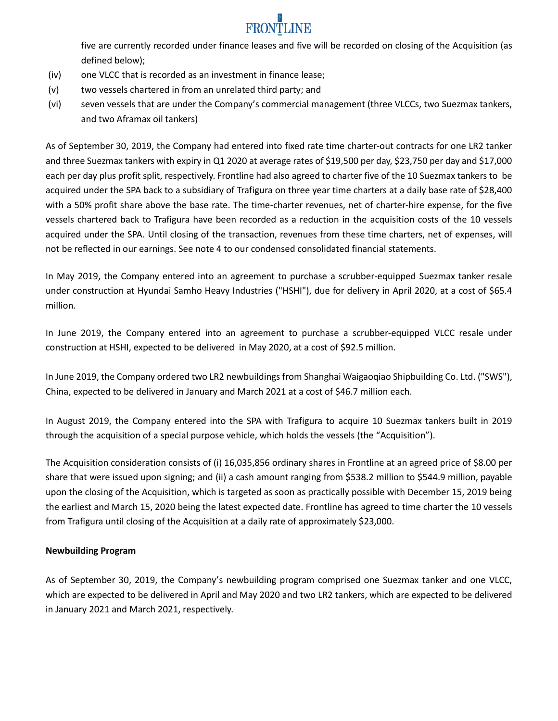

five are currently recorded under finance leases and five will be recorded on closing of the Acquisition (as defined below);

- (iv) one VLCC that is recorded as an investment in finance lease;
- (v) two vessels chartered in from an unrelated third party; and
- (vi) seven vessels that are under the Company's commercial management (three VLCCs, two Suezmax tankers, and two Aframax oil tankers)

As of September 30, 2019, the Company had entered into fixed rate time charter-out contracts for one LR2 tanker and three Suezmax tankers with expiry in Q1 2020 at average rates of \$19,500 per day, \$23,750 per day and \$17,000 each per day plus profit split, respectively. Frontline had also agreed to charter five of the 10 Suezmax tankers to be acquired under the SPA back to a subsidiary of Trafigura on three year time charters at a daily base rate of \$28,400 with a 50% profit share above the base rate. The time-charter revenues, net of charter-hire expense, for the five vessels chartered back to Trafigura have been recorded as a reduction in the acquisition costs of the 10 vessels acquired under the SPA. Until closing of the transaction, revenues from these time charters, net of expenses, will not be reflected in our earnings. See note 4 to our condensed consolidated financial statements.

In May 2019, the Company entered into an agreement to purchase a scrubber-equipped Suezmax tanker resale under construction at Hyundai Samho Heavy Industries ("HSHI"), due for delivery in April 2020, at a cost of \$65.4 million.

In June 2019, the Company entered into an agreement to purchase a scrubber-equipped VLCC resale under construction at HSHI, expected to be delivered in May 2020, at a cost of \$92.5 million.

In June 2019, the Company ordered two LR2 newbuildings from Shanghai Waigaoqiao Shipbuilding Co. Ltd. ("SWS"), China, expected to be delivered in January and March 2021 at a cost of \$46.7 million each.

In August 2019, the Company entered into the SPA with Trafigura to acquire 10 Suezmax tankers built in 2019 through the acquisition of a special purpose vehicle, which holds the vessels (the "Acquisition").

The Acquisition consideration consists of (i) 16,035,856 ordinary shares in Frontline at an agreed price of \$8.00 per share that were issued upon signing; and (ii) a cash amount ranging from \$538.2 million to \$544.9 million, payable upon the closing of the Acquisition, which is targeted as soon as practically possible with December 15, 2019 being the earliest and March 15, 2020 being the latest expected date. Frontline has agreed to time charter the 10 vessels from Trafigura until closing of the Acquisition at a daily rate of approximately \$23,000.

#### **Newbuilding Program**

As of September 30, 2019, the Company's newbuilding program comprised one Suezmax tanker and one VLCC, which are expected to be delivered in April and May 2020 and two LR2 tankers, which are expected to be delivered in January 2021 and March 2021, respectively.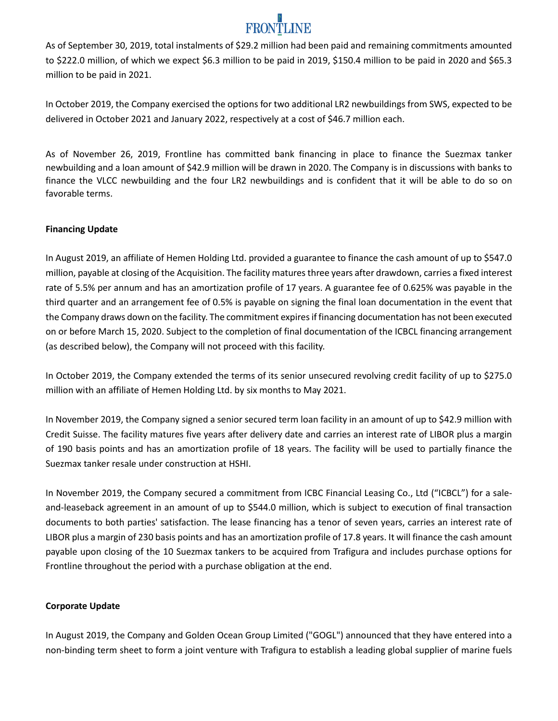

As of September 30, 2019, total instalments of \$29.2 million had been paid and remaining commitments amounted to \$222.0 million, of which we expect \$6.3 million to be paid in 2019, \$150.4 million to be paid in 2020 and \$65.3 million to be paid in 2021.

In October 2019, the Company exercised the options for two additional LR2 newbuildings from SWS, expected to be delivered in October 2021 and January 2022, respectively at a cost of \$46.7 million each.

As of November 26, 2019, Frontline has committed bank financing in place to finance the Suezmax tanker newbuilding and a loan amount of \$42.9 million will be drawn in 2020. The Company is in discussions with banks to finance the VLCC newbuilding and the four LR2 newbuildings and is confident that it will be able to do so on favorable terms.

#### **Financing Update**

In August 2019, an affiliate of Hemen Holding Ltd. provided a guarantee to finance the cash amount of up to \$547.0 million, payable at closing of the Acquisition. The facility matures three years after drawdown, carries a fixed interest rate of 5.5% per annum and has an amortization profile of 17 years. A guarantee fee of 0.625% was payable in the third quarter and an arrangement fee of 0.5% is payable on signing the final loan documentation in the event that the Company draws down on the facility. The commitment expires if financing documentation has not been executed on or before March 15, 2020. Subject to the completion of final documentation of the ICBCL financing arrangement (as described below), the Company will not proceed with this facility.

In October 2019, the Company extended the terms of its senior unsecured revolving credit facility of up to \$275.0 million with an affiliate of Hemen Holding Ltd. by six months to May 2021.

In November 2019, the Company signed a senior secured term loan facility in an amount of up to \$42.9 million with Credit Suisse. The facility matures five years after delivery date and carries an interest rate of LIBOR plus a margin of 190 basis points and has an amortization profile of 18 years. The facility will be used to partially finance the Suezmax tanker resale under construction at HSHI.

In November 2019, the Company secured a commitment from ICBC Financial Leasing Co., Ltd ("ICBCL") for a saleand-leaseback agreement in an amount of up to \$544.0 million, which is subject to execution of final transaction documents to both parties' satisfaction. The lease financing has a tenor of seven years, carries an interest rate of LIBOR plus a margin of 230 basis points and has an amortization profile of 17.8 years. It will finance the cash amount payable upon closing of the 10 Suezmax tankers to be acquired from Trafigura and includes purchase options for Frontline throughout the period with a purchase obligation at the end.

#### **Corporate Update**

In August 2019, the Company and Golden Ocean Group Limited ("GOGL") announced that they have entered into a non-binding term sheet to form a joint venture with Trafigura to establish a leading global supplier of marine fuels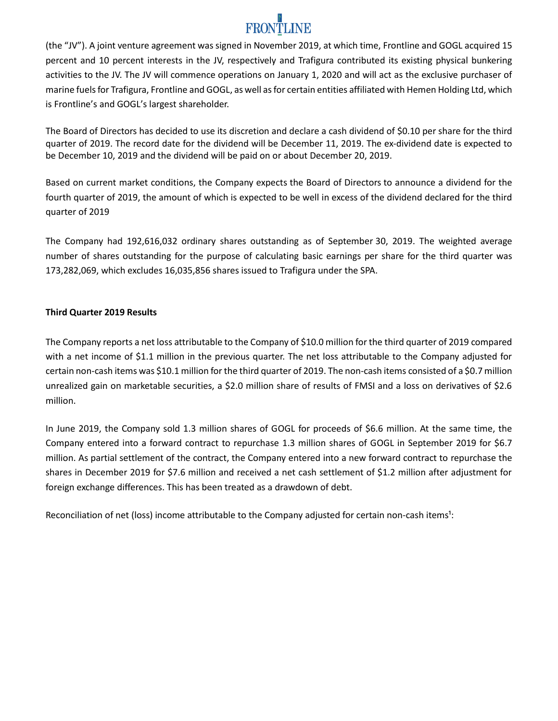(the "JV"). A joint venture agreement was signed in November 2019, at which time, Frontline and GOGL acquired 15 percent and 10 percent interests in the JV, respectively and Trafigura contributed its existing physical bunkering activities to the JV. The JV will commence operations on January 1, 2020 and will act as the exclusive purchaser of marine fuels for Trafigura, Frontline and GOGL, as well as for certain entities affiliated with Hemen Holding Ltd, which is Frontline's and GOGL's largest shareholder.

The Board of Directors has decided to use its discretion and declare a cash dividend of \$0.10 per share for the third quarter of 2019. The record date for the dividend will be December 11, 2019. The ex-dividend date is expected to be December 10, 2019 and the dividend will be paid on or about December 20, 2019.

Based on current market conditions, the Company expects the Board of Directors to announce a dividend for the fourth quarter of 2019, the amount of which is expected to be well in excess of the dividend declared for the third quarter of 2019

The Company had 192,616,032 ordinary shares outstanding as of September 30, 2019. The weighted average number of shares outstanding for the purpose of calculating basic earnings per share for the third quarter was 173,282,069, which excludes 16,035,856 shares issued to Trafigura under the SPA.

#### **Third Quarter 2019 Results**

The Company reports a net loss attributable to the Company of \$10.0 million for the third quarter of 2019 compared with a net income of \$1.1 million in the previous quarter. The net loss attributable to the Company adjusted for certain non-cash items was \$10.1 million for the third quarter of 2019. The non-cash items consisted of a \$0.7 million unrealized gain on marketable securities, a \$2.0 million share of results of FMSI and a loss on derivatives of \$2.6 million.

In June 2019, the Company sold 1.3 million shares of GOGL for proceeds of \$6.6 million. At the same time, the Company entered into a forward contract to repurchase 1.3 million shares of GOGL in September 2019 for \$6.7 million. As partial settlement of the contract, the Company entered into a new forward contract to repurchase the shares in December 2019 for \$7.6 million and received a net cash settlement of \$1.2 million after adjustment for foreign exchange differences. This has been treated as a drawdown of debt.

Reconciliation of net (loss) income attributable to the Company adjusted for certain non-cash items<sup>1</sup>: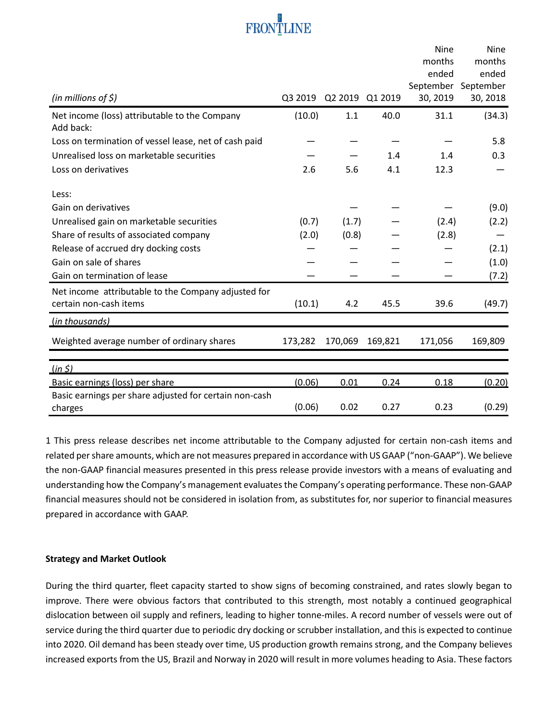

|                                                                   |         |                 |         | <b>Nine</b> | <b>Nine</b>         |
|-------------------------------------------------------------------|---------|-----------------|---------|-------------|---------------------|
|                                                                   |         |                 |         | months      | months              |
|                                                                   |         |                 |         | ended       | ended               |
|                                                                   |         |                 |         |             | September September |
| (in millions of $\zeta$ )                                         | Q3 2019 | Q2 2019 Q1 2019 |         | 30, 2019    | 30, 2018            |
| Net income (loss) attributable to the Company<br>Add back:        | (10.0)  | 1.1             | 40.0    | 31.1        | (34.3)              |
| Loss on termination of vessel lease, net of cash paid             |         |                 |         |             | 5.8                 |
| Unrealised loss on marketable securities                          |         |                 | 1.4     | 1.4         | 0.3                 |
| Loss on derivatives                                               | 2.6     | 5.6             | 4.1     | 12.3        |                     |
| Less:                                                             |         |                 |         |             |                     |
| Gain on derivatives                                               |         |                 |         |             | (9.0)               |
| Unrealised gain on marketable securities                          | (0.7)   | (1.7)           |         | (2.4)       | (2.2)               |
| Share of results of associated company                            | (2.0)   | (0.8)           |         | (2.8)       |                     |
| Release of accrued dry docking costs                              |         |                 |         |             | (2.1)               |
| Gain on sale of shares                                            |         |                 |         |             | (1.0)               |
| Gain on termination of lease                                      |         |                 |         |             | (7.2)               |
| Net income attributable to the Company adjusted for               |         |                 |         |             |                     |
| certain non-cash items                                            | (10.1)  | 4.2             | 45.5    | 39.6        | (49.7)              |
| (in thousands)                                                    |         |                 |         |             |                     |
| Weighted average number of ordinary shares                        | 173,282 | 170,069         | 169,821 | 171,056     | 169,809             |
| (in 5)                                                            |         |                 |         |             |                     |
| Basic earnings (loss) per share                                   | (0.06)  | 0.01            | 0.24    | 0.18        | (0.20)              |
| Basic earnings per share adjusted for certain non-cash<br>charges | (0.06)  | 0.02            | 0.27    | 0.23        | (0.29)              |

1 This press release describes net income attributable to the Company adjusted for certain non-cash items and related per share amounts, which are not measures prepared in accordance with US GAAP ("non-GAAP"). We believe the non-GAAP financial measures presented in this press release provide investors with a means of evaluating and understanding how the Company's management evaluates the Company's operating performance. These non-GAAP financial measures should not be considered in isolation from, as substitutes for, nor superior to financial measures prepared in accordance with GAAP.

#### **Strategy and Market Outlook**

During the third quarter, fleet capacity started to show signs of becoming constrained, and rates slowly began to improve. There were obvious factors that contributed to this strength, most notably a continued geographical dislocation between oil supply and refiners, leading to higher tonne-miles. A record number of vessels were out of service during the third quarter due to periodic dry docking or scrubber installation, and this is expected to continue into 2020. Oil demand has been steady over time, US production growth remains strong, and the Company believes increased exports from the US, Brazil and Norway in 2020 will result in more volumes heading to Asia. These factors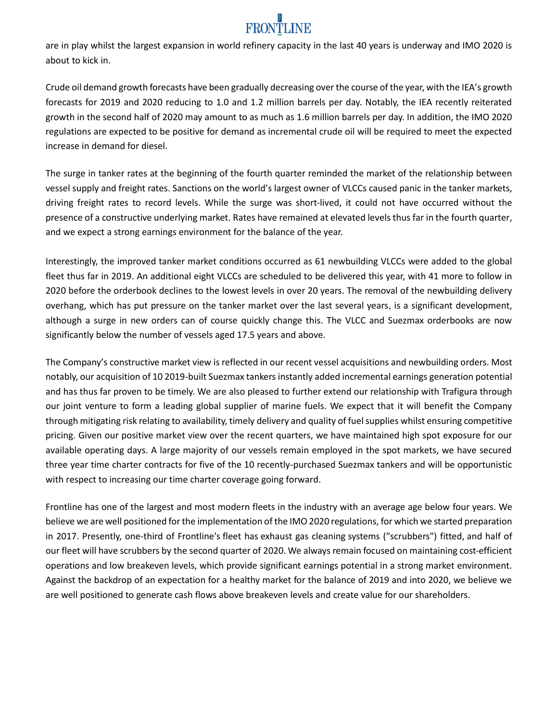

are in play whilst the largest expansion in world refinery capacity in the last 40 years is underway and IMO 2020 is about to kick in.

Crude oil demand growth forecasts have been gradually decreasing over the course of the year, with the IEA's growth forecasts for 2019 and 2020 reducing to 1.0 and 1.2 million barrels per day. Notably, the IEA recently reiterated growth in the second half of 2020 may amount to as much as 1.6 million barrels per day. In addition, the IMO 2020 regulations are expected to be positive for demand as incremental crude oil will be required to meet the expected increase in demand for diesel.

The surge in tanker rates at the beginning of the fourth quarter reminded the market of the relationship between vessel supply and freight rates. Sanctions on the world's largest owner of VLCCs caused panic in the tanker markets, driving freight rates to record levels. While the surge was short-lived, it could not have occurred without the presence of a constructive underlying market. Rates have remained at elevated levels thus far in the fourth quarter, and we expect a strong earnings environment for the balance of the year.

Interestingly, the improved tanker market conditions occurred as 61 newbuilding VLCCs were added to the global fleet thus far in 2019. An additional eight VLCCs are scheduled to be delivered this year, with 41 more to follow in 2020 before the orderbook declines to the lowest levels in over 20 years. The removal of the newbuilding delivery overhang, which has put pressure on the tanker market over the last several years, is a significant development, although a surge in new orders can of course quickly change this. The VLCC and Suezmax orderbooks are now significantly below the number of vessels aged 17.5 years and above.

The Company's constructive market view is reflected in our recent vessel acquisitions and newbuilding orders. Most notably, our acquisition of 10 2019-built Suezmax tankers instantly added incremental earnings generation potential and has thus far proven to be timely. We are also pleased to further extend our relationship with Trafigura through our joint venture to form a leading global supplier of marine fuels. We expect that it will benefit the Company through mitigating risk relating to availability, timely delivery and quality of fuel supplies whilst ensuring competitive pricing. Given our positive market view over the recent quarters, we have maintained high spot exposure for our available operating days. A large majority of our vessels remain employed in the spot markets, we have secured three year time charter contracts for five of the 10 recently-purchased Suezmax tankers and will be opportunistic with respect to increasing our time charter coverage going forward.

Frontline has one of the largest and most modern fleets in the industry with an average age below four years. We believe we are well positioned for the implementation of the IMO 2020 regulations, for which we started preparation in 2017. Presently, one-third of Frontline's fleet has exhaust gas cleaning systems ("scrubbers") fitted, and half of our fleet will have scrubbers by the second quarter of 2020. We always remain focused on maintaining cost-efficient operations and low breakeven levels, which provide significant earnings potential in a strong market environment. Against the backdrop of an expectation for a healthy market for the balance of 2019 and into 2020, we believe we are well positioned to generate cash flows above breakeven levels and create value for our shareholders.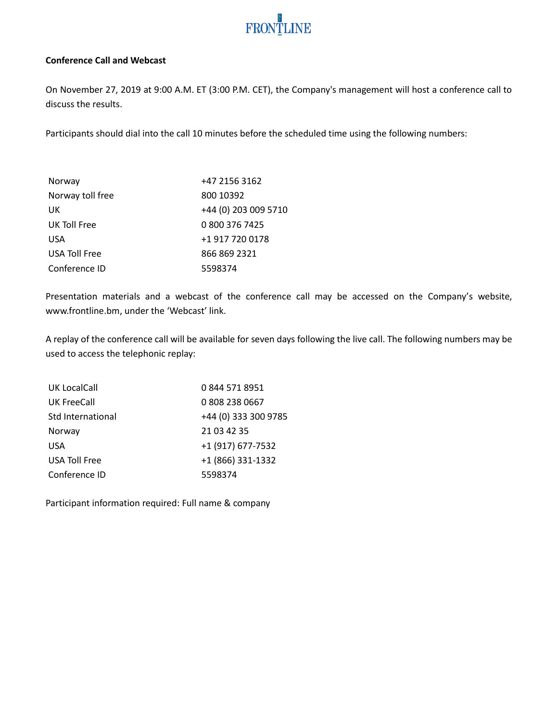

#### **Conference Call and Webcast**

On November 27, 2019 at 9:00 A.M. ET (3:00 P.M. CET), the Company's management will host a conference call to discuss the results.

Participants should dial into the call 10 minutes before the scheduled time using the following numbers:

| Norway           | +47 2156 3162        |
|------------------|----------------------|
| Norway toll free | 800 10392            |
| <b>UK</b>        | +44 (0) 203 009 5710 |
| UK Toll Free     | 0 800 376 7425       |
| USA.             | +1 917 720 0178      |
| USA Toll Free    | 866 869 2321         |
| Conference ID    | 5598374              |

Presentation materials and a webcast of the conference call may be accessed on the Company's website, www.frontline.bm, under the 'Webcast' link.

A replay of the conference call will be available for seven days following the live call. The following numbers may be used to access the telephonic replay:

| <b>UK LocalCall</b> | 0 844 571 8951       |
|---------------------|----------------------|
| <b>UK FreeCall</b>  | 0 808 238 0667       |
| Std International   | +44 (0) 333 300 9785 |
| Norway              | 21 03 42 35          |
| <b>USA</b>          | +1 (917) 677-7532    |
| USA Toll Free       | +1 (866) 331-1332    |
| Conference ID       | 5598374              |

Participant information required: Full name & company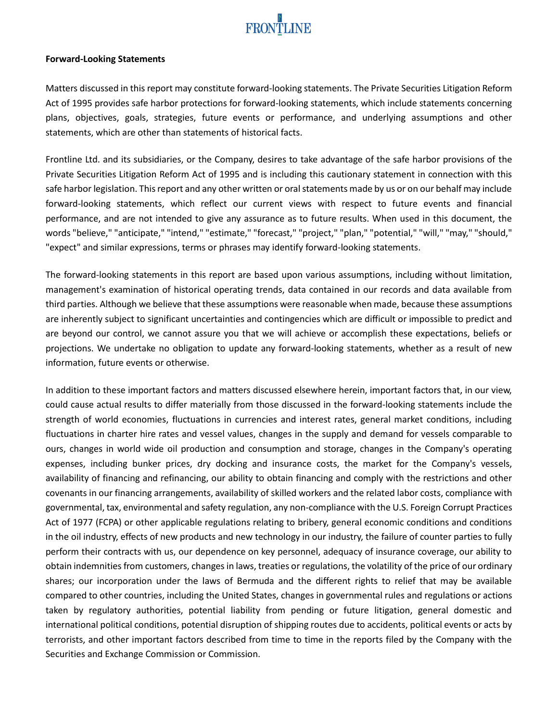

#### **Forward-Looking Statements**

Matters discussed in this report may constitute forward-looking statements. The Private Securities Litigation Reform Act of 1995 provides safe harbor protections for forward-looking statements, which include statements concerning plans, objectives, goals, strategies, future events or performance, and underlying assumptions and other statements, which are other than statements of historical facts.

Frontline Ltd. and its subsidiaries, or the Company, desires to take advantage of the safe harbor provisions of the Private Securities Litigation Reform Act of 1995 and is including this cautionary statement in connection with this safe harbor legislation. This report and any other written or oral statements made by us or on our behalf may include forward-looking statements, which reflect our current views with respect to future events and financial performance, and are not intended to give any assurance as to future results. When used in this document, the words "believe," "anticipate," "intend," "estimate," "forecast," "project," "plan," "potential," "will," "may," "should," "expect" and similar expressions, terms or phrases may identify forward-looking statements.

The forward-looking statements in this report are based upon various assumptions, including without limitation, management's examination of historical operating trends, data contained in our records and data available from third parties. Although we believe that these assumptions were reasonable when made, because these assumptions are inherently subject to significant uncertainties and contingencies which are difficult or impossible to predict and are beyond our control, we cannot assure you that we will achieve or accomplish these expectations, beliefs or projections. We undertake no obligation to update any forward-looking statements, whether as a result of new information, future events or otherwise.

In addition to these important factors and matters discussed elsewhere herein, important factors that, in our view, could cause actual results to differ materially from those discussed in the forward-looking statements include the strength of world economies, fluctuations in currencies and interest rates, general market conditions, including fluctuations in charter hire rates and vessel values, changes in the supply and demand for vessels comparable to ours, changes in world wide oil production and consumption and storage, changes in the Company's operating expenses, including bunker prices, dry docking and insurance costs, the market for the Company's vessels, availability of financing and refinancing, our ability to obtain financing and comply with the restrictions and other covenants in our financing arrangements, availability of skilled workers and the related labor costs, compliance with governmental, tax, environmental and safety regulation, any non-compliance with the U.S. Foreign Corrupt Practices Act of 1977 (FCPA) or other applicable regulations relating to bribery, general economic conditions and conditions in the oil industry, effects of new products and new technology in our industry, the failure of counter parties to fully perform their contracts with us, our dependence on key personnel, adequacy of insurance coverage, our ability to obtain indemnities from customers, changes in laws, treaties or regulations, the volatility of the price of our ordinary shares; our incorporation under the laws of Bermuda and the different rights to relief that may be available compared to other countries, including the United States, changes in governmental rules and regulations or actions taken by regulatory authorities, potential liability from pending or future litigation, general domestic and international political conditions, potential disruption of shipping routes due to accidents, political events or acts by terrorists, and other important factors described from time to time in the reports filed by the Company with the Securities and Exchange Commission or Commission.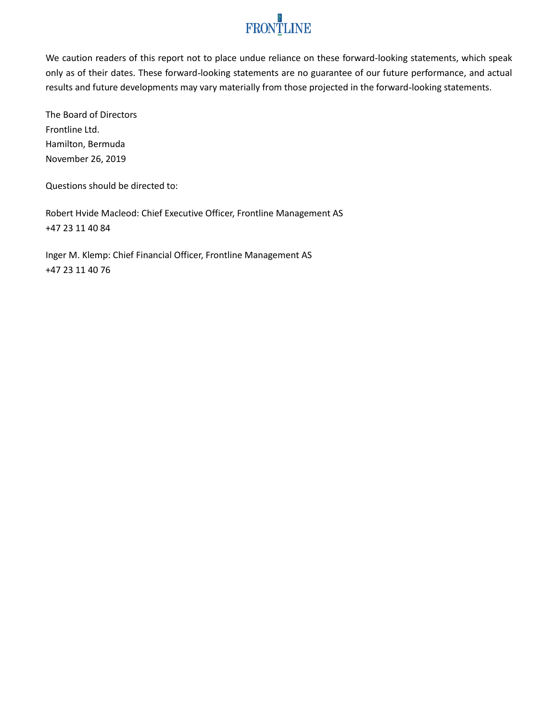

We caution readers of this report not to place undue reliance on these forward-looking statements, which speak only as of their dates. These forward-looking statements are no guarantee of our future performance, and actual results and future developments may vary materially from those projected in the forward-looking statements.

The Board of Directors Frontline Ltd. Hamilton, Bermuda November 26, 2019

Questions should be directed to:

Robert Hvide Macleod: Chief Executive Officer, Frontline Management AS +47 23 11 40 84

Inger M. Klemp: Chief Financial Officer, Frontline Management AS +47 23 11 40 76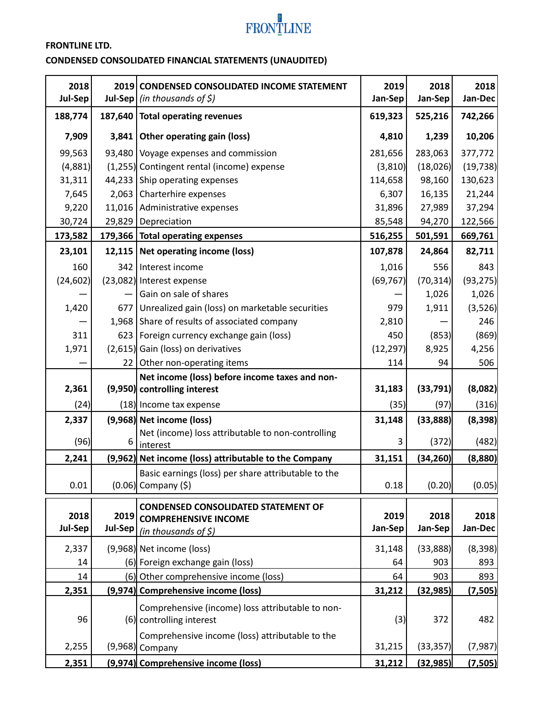

#### **FRONTLINE LTD.**

### **CONDENSED CONSOLIDATED FINANCIAL STATEMENTS (UNAUDITED)**

| 2018<br>Jul-Sep |         | 2019 CONDENSED CONSOLIDATED INCOME STATEMENT<br><b>Jul-Sep</b> (in thousands of \$) | 2019<br>Jan-Sep | 2018<br>Jan-Sep | 2018<br>Jan-Dec |
|-----------------|---------|-------------------------------------------------------------------------------------|-----------------|-----------------|-----------------|
| 188,774         | 187,640 | <b>Total operating revenues</b>                                                     | 619,323         | 525,216         | 742,266         |
| 7,909           | 3,841   | Other operating gain (loss)                                                         | 4,810           | 1,239           | 10,206          |
| 99,563          | 93,480  | Voyage expenses and commission                                                      | 281,656         | 283,063         | 377,772         |
| (4,881)         |         | (1,255) Contingent rental (income) expense                                          | (3,810)         | (18,026)        | (19, 738)       |
| 31,311          | 44,233  | Ship operating expenses                                                             | 114,658         | 98,160          | 130,623         |
| 7,645           | 2,063   | Charterhire expenses                                                                | 6,307           | 16,135          | 21,244          |
| 9,220           | 11,016  | Administrative expenses                                                             | 31,896          | 27,989          | 37,294          |
| 30,724          |         | 29,829   Depreciation                                                               | 85,548          | 94,270          | 122,566         |
| 173,582         |         | 179,366 Total operating expenses                                                    | 516,255         | 501,591         | 669,761         |
| 23,101          | 12,115  | Net operating income (loss)                                                         | 107,878         | 24,864          | 82,711          |
| 160             | 342     | Interest income                                                                     | 1,016           | 556             | 843             |
| (24, 602)       |         | (23,082) Interest expense                                                           | (69, 767)       | (70, 314)       | (93, 275)       |
|                 |         | Gain on sale of shares                                                              |                 | 1,026           | 1,026           |
| 1,420           | 677     | Unrealized gain (loss) on marketable securities                                     | 979             | 1,911           | (3,526)         |
|                 | 1,968   | Share of results of associated company                                              | 2,810           |                 | 246             |
| 311             |         | 623   Foreign currency exchange gain (loss)                                         | 450             | (853)           | (869)           |
| 1,971           |         | (2,615) Gain (loss) on derivatives                                                  | (12, 297)       | 8,925           | 4,256           |
|                 |         | 22 Other non-operating items                                                        | 114             | 94              | 506             |
|                 |         | Net income (loss) before income taxes and non-                                      |                 |                 |                 |
| 2,361           |         | (9,950) controlling interest                                                        | 31,183          | (33,791)        | (8,082)         |
| (24)            |         | (18) Income tax expense                                                             | (35)            | (97)            | (316)           |
| 2,337           |         | (9,968) Net income (loss)                                                           | 31,148          | (33, 888)       | (8, 398)        |
| (96)            | 6       | Net (income) loss attributable to non-controlling                                   | 3               | (372)           | (482)           |
| 2,241           |         | interest<br>(9,962) Net income (loss) attributable to the Company                   | 31,151          | (34, 260)       | (8,880)         |
|                 |         | Basic earnings (loss) per share attributable to the                                 |                 |                 |                 |
| 0.01            |         | $(0.06)$ Company $(5)$                                                              | 0.18            | (0.20)          | (0.05)          |
|                 |         | <b>CONDENSED CONSOLIDATED STATEMENT OF</b>                                          |                 |                 |                 |
| 2018            | 2019    | <b>COMPREHENSIVE INCOME</b>                                                         | 2019            | 2018            | 2018            |
| Jul-Sep         | Jul-Sep | (in thousands of $\zeta$ )                                                          | Jan-Sep         | Jan-Sep         | Jan-Dec         |
| 2,337           |         | (9,968) Net income (loss)                                                           | 31,148          | (33,888)        | (8, 398)        |
| 14              |         | (6) Foreign exchange gain (loss)                                                    | 64              | 903             | 893             |
| 14              |         | (6) Other comprehensive income (loss)                                               | 64              | 903             | 893             |
| 2,351           |         | (9,974) Comprehensive income (loss)                                                 | 31,212          | (32, 985)       | (7,505)         |
| 96              |         | Comprehensive (income) loss attributable to non-<br>(6) controlling interest        | (3)             | 372             | 482             |
| 2,255           |         | Comprehensive income (loss) attributable to the<br>$(9,968)$ Company                | 31,215          | (33, 357)       | (7, 987)        |
| 2,351           |         | (9,974) Comprehensive income (loss)                                                 | 31,212          | (32, 985)       | (7,505)         |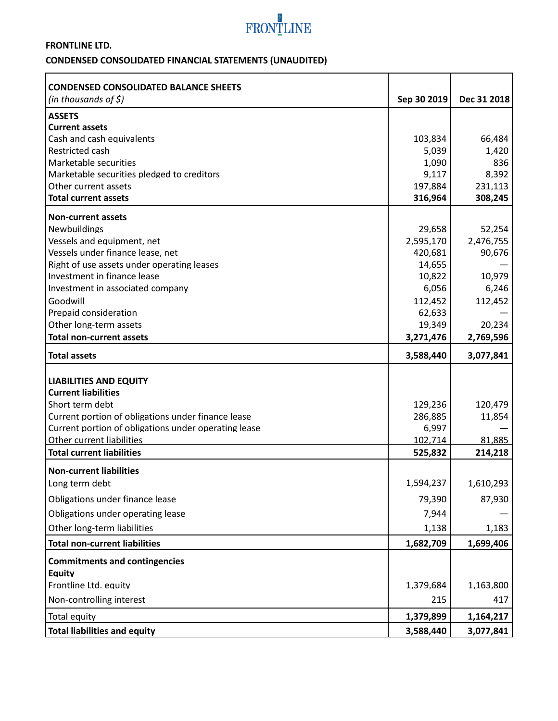

#### **FRONTLINE LTD.**

#### **CONDENSED CONSOLIDATED FINANCIAL STATEMENTS (UNAUDITED)**

| <b>CONDENSED CONSOLIDATED BALANCE SHEETS</b>         |                    |             |
|------------------------------------------------------|--------------------|-------------|
| (in thousands of $\zeta$ )                           | Sep 30 2019        | Dec 31 2018 |
| <b>ASSETS</b>                                        |                    |             |
| <b>Current assets</b>                                |                    |             |
| Cash and cash equivalents                            | 103,834            | 66,484      |
| Restricted cash                                      | 5,039              | 1,420       |
| Marketable securities                                | 1,090              | 836         |
| Marketable securities pledged to creditors           | 9,117              | 8,392       |
| Other current assets<br><b>Total current assets</b>  | 197,884<br>316,964 | 231,113     |
|                                                      |                    | 308,245     |
| <b>Non-current assets</b>                            |                    |             |
| Newbuildings                                         | 29,658             | 52,254      |
| Vessels and equipment, net                           | 2,595,170          | 2,476,755   |
| Vessels under finance lease, net                     | 420,681            | 90,676      |
| Right of use assets under operating leases           | 14,655             |             |
| Investment in finance lease                          | 10,822             | 10,979      |
| Investment in associated company                     | 6,056              | 6,246       |
| Goodwill                                             | 112,452            | 112,452     |
| Prepaid consideration                                | 62,633             |             |
| Other long-term assets                               | 19,349             | 20,234      |
| <b>Total non-current assets</b>                      | 3,271,476          | 2,769,596   |
| <b>Total assets</b>                                  | 3,588,440          | 3,077,841   |
|                                                      |                    |             |
| <b>LIABILITIES AND EQUITY</b>                        |                    |             |
| <b>Current liabilities</b><br>Short term debt        | 129,236            | 120,479     |
| Current portion of obligations under finance lease   | 286,885            | 11,854      |
| Current portion of obligations under operating lease | 6,997              |             |
| Other current liabilities                            | 102,714            | 81,885      |
| <b>Total current liabilities</b>                     | 525,832            | 214,218     |
| <b>Non-current liabilities</b>                       |                    |             |
| Long term debt                                       | 1,594,237          | 1,610,293   |
| Obligations under finance lease                      | 79,390             | 87,930      |
| Obligations under operating lease                    | 7,944              |             |
| Other long-term liabilities                          | 1,138              | 1,183       |
| <b>Total non-current liabilities</b>                 | 1,682,709          | 1,699,406   |
| <b>Commitments and contingencies</b>                 |                    |             |
| Equity                                               |                    |             |
| Frontline Ltd. equity                                | 1,379,684          | 1,163,800   |
| Non-controlling interest                             | 215                | 417         |
| Total equity                                         | 1,379,899          | 1,164,217   |
| <b>Total liabilities and equity</b>                  | 3,588,440          | 3,077,841   |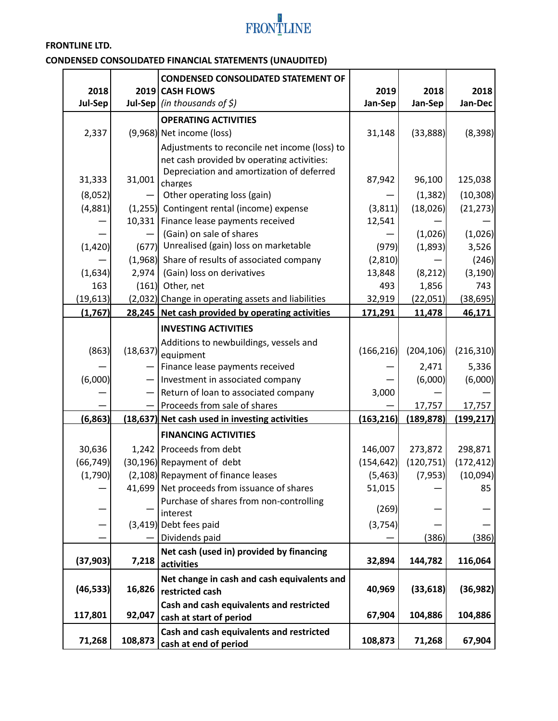

#### **FRONTLINE LTD. CONDENSED CONSOLIDATED FINANCIAL STATEMENTS (UNAUDITED)**

|                |           | <b>CONDENSED CONSOLIDATED STATEMENT OF</b>         |            |            |            |
|----------------|-----------|----------------------------------------------------|------------|------------|------------|
| 2018           |           | 2019 CASH FLOWS                                    | 2019       | 2018       | 2018       |
| <b>Jul-Sep</b> |           | <b>Jul-Sep</b> (in thousands of $\zeta$ )          | Jan-Sep    | Jan-Sep    | Jan-Dec    |
|                |           | <b>OPERATING ACTIVITIES</b>                        |            |            |            |
| 2,337          |           | (9,968) Net income (loss)                          | 31,148     | (33,888)   | (8, 398)   |
|                |           | Adjustments to reconcile net income (loss) to      |            |            |            |
|                |           | net cash provided by operating activities:         |            |            |            |
|                |           | Depreciation and amortization of deferred          |            |            |            |
| 31,333         | 31,001    | charges                                            | 87,942     | 96,100     | 125,038    |
| (8,052)        |           | Other operating loss (gain)                        |            | (1, 382)   | (10, 308)  |
| (4,881)        | (1, 255)  | Contingent rental (income) expense                 | (3,811)    | (18,026)   | (21, 273)  |
|                | 10,331    | Finance lease payments received                    | 12,541     |            |            |
|                |           | (Gain) on sale of shares                           |            | (1,026)    | (1,026)    |
| (1, 420)       | (677)     | Unrealised (gain) loss on marketable               | (979)      | (1,893)    | 3,526      |
|                | (1,968)   | Share of results of associated company             | (2,810)    |            | (246)      |
| (1,634)        | 2,974     | (Gain) loss on derivatives                         | 13,848     | (8, 212)   | (3, 190)   |
| 163            | (161)     | Other, net                                         | 493        | 1,856      | 743        |
| (19, 613)      |           | (2,032) Change in operating assets and liabilities | 32,919     | (22, 051)  | (38, 695)  |
| (1,767)        |           | 28,245 Net cash provided by operating activities   | 171,291    | 11,478     | 46,171     |
|                |           | <b>INVESTING ACTIVITIES</b>                        |            |            |            |
|                |           | Additions to newbuildings, vessels and             |            |            |            |
| (863)          | (18, 637) | equipment                                          | (166, 216) | (204, 106) | (216, 310) |
|                |           | Finance lease payments received                    |            | 2,471      | 5,336      |
| (6,000)        |           | Investment in associated company                   |            | (6,000)    | (6,000)    |
|                |           | Return of loan to associated company               | 3,000      |            |            |
|                |           | Proceeds from sale of shares                       |            | 17,757     | 17,757     |
| (6, 863)       |           | (18,637) Net cash used in investing activities     | (163, 216) | (189, 878) | (199, 217) |
|                |           | <b>FINANCING ACTIVITIES</b>                        |            |            |            |
| 30,636         |           | 1,242 Proceeds from debt                           | 146,007    | 273,872    | 298,871    |
| (66, 749)      |           | (30,196) Repayment of debt                         | (154, 642) | (120, 751) | (172, 412) |
| (1,790)        |           | (2,108) Repayment of finance leases                | (5, 463)   | (7, 953)   | (10,094)   |
|                |           | 41,699 Net proceeds from issuance of shares        | 51,015     |            | 85         |
|                |           | Purchase of shares from non-controlling            |            |            |            |
|                |           | interest                                           | (269)      |            |            |
|                |           | (3,419) Debt fees paid                             | (3, 754)   |            |            |
|                |           | Dividends paid                                     |            | (386)      | (386)      |
| (37, 903)      | 7,218     | Net cash (used in) provided by financing           | 32,894     | 144,782    | 116,064    |
|                |           | activities                                         |            |            |            |
|                |           | Net change in cash and cash equivalents and        |            |            |            |
| (46, 533)      | 16,826    | restricted cash                                    | 40,969     | (33, 618)  | (36, 982)  |
|                |           | Cash and cash equivalents and restricted           |            |            |            |
| 117,801        | 92,047    | cash at start of period                            | 67,904     | 104,886    | 104,886    |
|                |           | Cash and cash equivalents and restricted           |            |            |            |
| 71,268         | 108,873   | cash at end of period                              | 108,873    | 71,268     | 67,904     |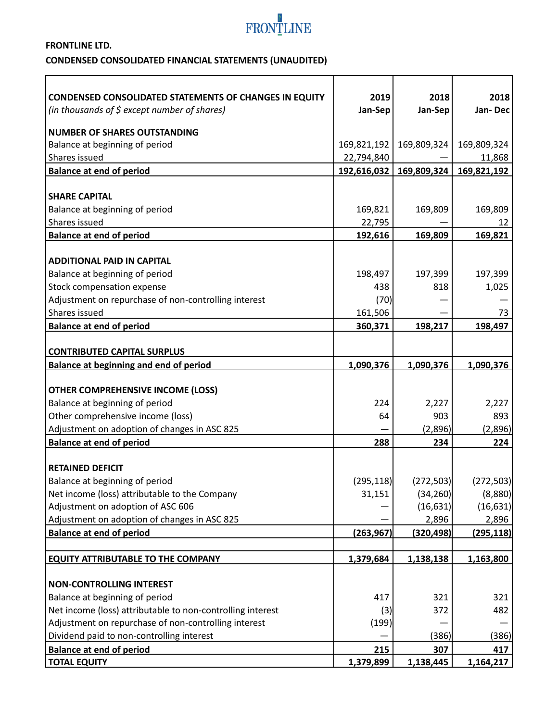

#### **FRONTLINE LTD.**

r

#### **CONDENSED CONSOLIDATED FINANCIAL STATEMENTS (UNAUDITED)**

| <b>CONDENSED CONSOLIDATED STATEMENTS OF CHANGES IN EQUITY</b> | 2019        | 2018        | 2018        |
|---------------------------------------------------------------|-------------|-------------|-------------|
| (in thousands of $\frac{2}{3}$ except number of shares)       | Jan-Sep     | Jan-Sep     | Jan-Dec     |
| <b>NUMBER OF SHARES OUTSTANDING</b>                           |             |             |             |
| Balance at beginning of period                                | 169,821,192 | 169,809,324 | 169,809,324 |
| Shares issued                                                 | 22,794,840  |             | 11,868      |
| <b>Balance at end of period</b>                               | 192,616,032 | 169,809,324 | 169,821,192 |
|                                                               |             |             |             |
| <b>SHARE CAPITAL</b>                                          |             |             |             |
| Balance at beginning of period                                | 169,821     | 169,809     | 169,809     |
| Shares issued                                                 | 22,795      |             | 12          |
| <b>Balance at end of period</b>                               | 192,616     | 169,809     | 169,821     |
| <b>ADDITIONAL PAID IN CAPITAL</b>                             |             |             |             |
| Balance at beginning of period                                | 198,497     | 197,399     | 197,399     |
| Stock compensation expense                                    | 438         | 818         | 1,025       |
| Adjustment on repurchase of non-controlling interest          | (70)        |             |             |
| Shares issued                                                 | 161,506     |             | 73          |
| <b>Balance at end of period</b>                               | 360,371     | 198,217     | 198,497     |
|                                                               |             |             |             |
| <b>CONTRIBUTED CAPITAL SURPLUS</b>                            |             |             |             |
| Balance at beginning and end of period                        | 1,090,376   | 1,090,376   | 1,090,376   |
| <b>OTHER COMPREHENSIVE INCOME (LOSS)</b>                      |             |             |             |
| Balance at beginning of period                                | 224         | 2,227       | 2,227       |
| Other comprehensive income (loss)                             | 64          | 903         | 893         |
| Adjustment on adoption of changes in ASC 825                  |             | (2,896)     | (2,896)     |
| <b>Balance at end of period</b>                               | 288         | 234         | 224         |
|                                                               |             |             |             |
| <b>RETAINED DEFICIT</b>                                       |             |             |             |
| Balance at beginning of period                                | (295, 118)  | (272, 503)  | (272, 503)  |
| Net income (loss) attributable to the Company                 | 31,151      | (34, 260)   | (8,880)     |
| Adjustment on adoption of ASC 606                             |             | (16, 631)   | (16, 631)   |
| Adjustment on adoption of changes in ASC 825                  |             | 2,896       | 2,896       |
| <b>Balance at end of period</b>                               | (263, 967)  | (320, 498)  | (295, 118)  |
|                                                               |             |             |             |
| <b>EQUITY ATTRIBUTABLE TO THE COMPANY</b>                     | 1,379,684   | 1,138,138   | 1,163,800   |
| <b>NON-CONTROLLING INTEREST</b>                               |             |             |             |
| Balance at beginning of period                                | 417         | 321         | 321         |
| Net income (loss) attributable to non-controlling interest    | (3)         | 372         | 482         |
| Adjustment on repurchase of non-controlling interest          | (199)       |             |             |
| Dividend paid to non-controlling interest                     |             | (386)       | (386)       |
| <b>Balance at end of period</b>                               | 215         | 307         | 417         |
| <b>TOTAL EQUITY</b>                                           | 1,379,899   | 1,138,445   | 1,164,217   |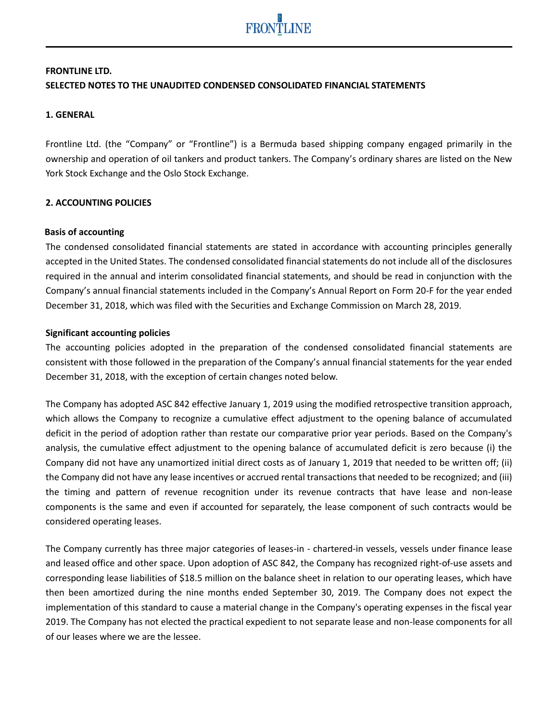

#### **FRONTLINE LTD. SELECTED NOTES TO THE UNAUDITED CONDENSED CONSOLIDATED FINANCIAL STATEMENTS**

#### **1. GENERAL**

Frontline Ltd. (the "Company" or "Frontline") is a Bermuda based shipping company engaged primarily in the ownership and operation of oil tankers and product tankers. The Company's ordinary shares are listed on the New York Stock Exchange and the Oslo Stock Exchange.

#### **2. ACCOUNTING POLICIES**

#### **Basis of accounting**

The condensed consolidated financial statements are stated in accordance with accounting principles generally accepted in the United States. The condensed consolidated financial statements do not include all of the disclosures required in the annual and interim consolidated financial statements, and should be read in conjunction with the Company's annual financial statements included in the Company's Annual Report on Form 20-F for the year ended December 31, 2018, which was filed with the Securities and Exchange Commission on March 28, 2019.

#### **Significant accounting policies**

The accounting policies adopted in the preparation of the condensed consolidated financial statements are consistent with those followed in the preparation of the Company's annual financial statements for the year ended December 31, 2018, with the exception of certain changes noted below.

The Company has adopted ASC 842 effective January 1, 2019 using the modified retrospective transition approach, which allows the Company to recognize a cumulative effect adjustment to the opening balance of accumulated deficit in the period of adoption rather than restate our comparative prior year periods. Based on the Company's analysis, the cumulative effect adjustment to the opening balance of accumulated deficit is zero because (i) the Company did not have any unamortized initial direct costs as of January 1, 2019 that needed to be written off; (ii) the Company did not have any lease incentives or accrued rental transactions that needed to be recognized; and (iii) the timing and pattern of revenue recognition under its revenue contracts that have lease and non-lease components is the same and even if accounted for separately, the lease component of such contracts would be considered operating leases.

The Company currently has three major categories of leases-in - chartered-in vessels, vessels under finance lease and leased office and other space. Upon adoption of ASC 842, the Company has recognized right-of-use assets and corresponding lease liabilities of \$18.5 million on the balance sheet in relation to our operating leases, which have then been amortized during the nine months ended September 30, 2019. The Company does not expect the implementation of this standard to cause a material change in the Company's operating expenses in the fiscal year 2019. The Company has not elected the practical expedient to not separate lease and non-lease components for all of our leases where we are the lessee.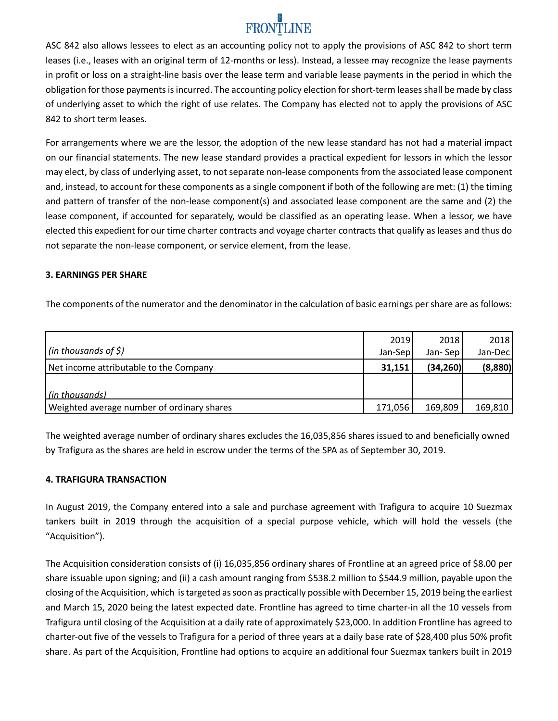## FRONTLINE

ASC 842 also allows lessees to elect as an accounting policy not to apply the provisions of ASC 842 to short term leases (i.e., leases with an original term of 12-months or less). Instead, a lessee may recognize the lease payments in profit or loss on a straight-line basis over the lease term and variable lease payments in the period in which the obligation for those payments is incurred. The accounting policy election for short-term leases shall be made by class of underlying asset to which the right of use relates. The Company has elected not to apply the provisions of ASC 842 to short term leases.

For arrangements where we are the lessor, the adoption of the new lease standard has not had a material impact on our financial statements. The new lease standard provides a practical expedient for lessors in which the lessor may elect, by class of underlying asset, to not separate non-lease components from the associated lease component and, instead, to account for these components as a single component if both of the following are met: (1) the timing and pattern of transfer of the non-lease component(s) and associated lease component are the same and (2) the lease component, if accounted for separately, would be classified as an operating lease. When a lessor, we have elected this expedient for our time charter contracts and voyage charter contracts that qualify as leases and thus do not separate the non-lease component, or service element, from the lease.

#### **3. EARNINGS PER SHARE**

The components of the numerator and the denominator in the calculation of basic earnings per share are as follows:

|                                            | 2019    | 2018      | 2018    |
|--------------------------------------------|---------|-----------|---------|
| (in thousands of $\zeta$ )                 | Jan-Sep | Jan-Sep   | Jan-Dec |
| Net income attributable to the Company     | 31,151  | (34, 260) | (8,880) |
|                                            |         |           |         |
| (in thousands)                             |         |           |         |
| Weighted average number of ordinary shares | 171,056 | 169,809   | 169,810 |

The weighted average number of ordinary shares excludes the 16,035,856 shares issued to and beneficially owned by Trafigura as the shares are held in escrow under the terms of the SPA as of September 30, 2019.

#### **4. TRAFIGURA TRANSACTION**

In August 2019, the Company entered into a sale and purchase agreement with Trafigura to acquire 10 Suezmax tankers built in 2019 through the acquisition of a special purpose vehicle, which will hold the vessels (the "Acquisition").

The Acquisition consideration consists of (i) 16,035,856 ordinary shares of Frontline at an agreed price of \$8.00 per share issuable upon signing; and (ii) a cash amount ranging from \$538.2 million to \$544.9 million, payable upon the closing of the Acquisition, which is targeted as soon as practically possible with December 15, 2019 being the earliest and March 15, 2020 being the latest expected date. Frontline has agreed to time charter-in all the 10 vessels from Trafigura until closing of the Acquisition at a daily rate of approximately \$23,000. In addition Frontline has agreed to charter-out five of the vessels to Trafigura for a period of three years at a daily base rate of \$28,400 plus 50% profit share. As part of the Acquisition, Frontline had options to acquire an additional four Suezmax tankers built in 2019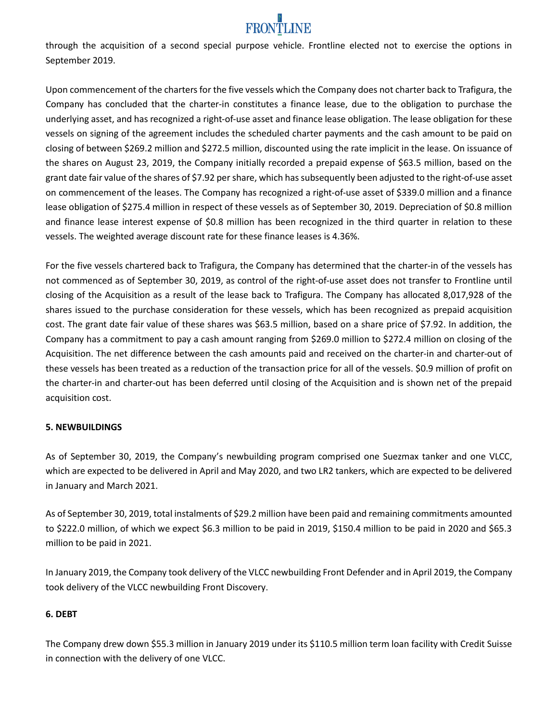

through the acquisition of a second special purpose vehicle. Frontline elected not to exercise the options in September 2019.

Upon commencement of the charters for the five vessels which the Company does not charter back to Trafigura, the Company has concluded that the charter-in constitutes a finance lease, due to the obligation to purchase the underlying asset, and has recognized a right-of-use asset and finance lease obligation. The lease obligation for these vessels on signing of the agreement includes the scheduled charter payments and the cash amount to be paid on closing of between \$269.2 million and \$272.5 million, discounted using the rate implicit in the lease. On issuance of the shares on August 23, 2019, the Company initially recorded a prepaid expense of \$63.5 million, based on the grant date fair value of the shares of \$7.92 per share, which has subsequently been adjusted to the right-of-use asset on commencement of the leases. The Company has recognized a right-of-use asset of \$339.0 million and a finance lease obligation of \$275.4 million in respect of these vessels as of September 30, 2019. Depreciation of \$0.8 million and finance lease interest expense of \$0.8 million has been recognized in the third quarter in relation to these vessels. The weighted average discount rate for these finance leases is 4.36%.

For the five vessels chartered back to Trafigura, the Company has determined that the charter-in of the vessels has not commenced as of September 30, 2019, as control of the right-of-use asset does not transfer to Frontline until closing of the Acquisition as a result of the lease back to Trafigura. The Company has allocated 8,017,928 of the shares issued to the purchase consideration for these vessels, which has been recognized as prepaid acquisition cost. The grant date fair value of these shares was \$63.5 million, based on a share price of \$7.92. In addition, the Company has a commitment to pay a cash amount ranging from \$269.0 million to \$272.4 million on closing of the Acquisition. The net difference between the cash amounts paid and received on the charter-in and charter-out of these vessels has been treated as a reduction of the transaction price for all of the vessels. \$0.9 million of profit on the charter-in and charter-out has been deferred until closing of the Acquisition and is shown net of the prepaid acquisition cost.

#### **5. NEWBUILDINGS**

As of September 30, 2019, the Company's newbuilding program comprised one Suezmax tanker and one VLCC, which are expected to be delivered in April and May 2020, and two LR2 tankers, which are expected to be delivered in January and March 2021.

As of September 30, 2019, total instalments of \$29.2 million have been paid and remaining commitments amounted to \$222.0 million, of which we expect \$6.3 million to be paid in 2019, \$150.4 million to be paid in 2020 and \$65.3 million to be paid in 2021.

In January 2019, the Company took delivery of the VLCC newbuilding Front Defender and in April 2019, the Company took delivery of the VLCC newbuilding Front Discovery.

#### **6. DEBT**

The Company drew down \$55.3 million in January 2019 under its \$110.5 million term loan facility with Credit Suisse in connection with the delivery of one VLCC.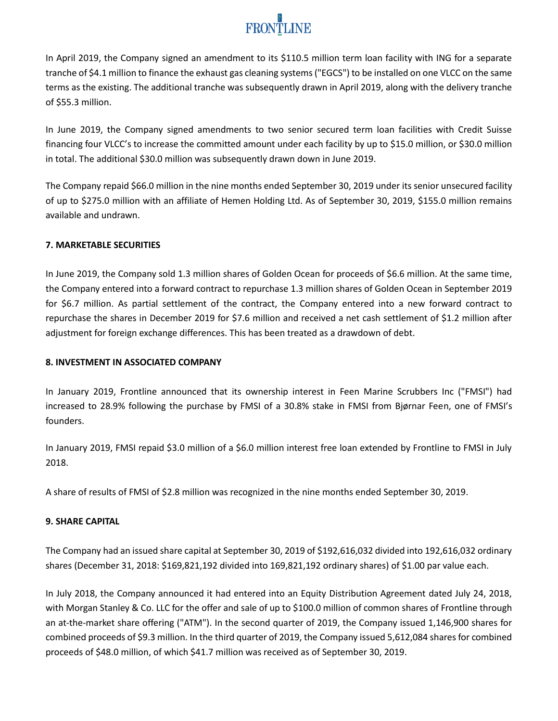

In April 2019, the Company signed an amendment to its \$110.5 million term loan facility with ING for a separate tranche of \$4.1 million to finance the exhaust gas cleaning systems ("EGCS") to be installed on one VLCC on the same terms as the existing. The additional tranche was subsequently drawn in April 2019, along with the delivery tranche of \$55.3 million.

In June 2019, the Company signed amendments to two senior secured term loan facilities with Credit Suisse financing four VLCC's to increase the committed amount under each facility by up to \$15.0 million, or \$30.0 million in total. The additional \$30.0 million was subsequently drawn down in June 2019.

The Company repaid \$66.0 million in the nine months ended September 30, 2019 under its senior unsecured facility of up to \$275.0 million with an affiliate of Hemen Holding Ltd. As of September 30, 2019, \$155.0 million remains available and undrawn.

#### **7. MARKETABLE SECURITIES**

In June 2019, the Company sold 1.3 million shares of Golden Ocean for proceeds of \$6.6 million. At the same time, the Company entered into a forward contract to repurchase 1.3 million shares of Golden Ocean in September 2019 for \$6.7 million. As partial settlement of the contract, the Company entered into a new forward contract to repurchase the shares in December 2019 for \$7.6 million and received a net cash settlement of \$1.2 million after adjustment for foreign exchange differences. This has been treated as a drawdown of debt.

#### **8. INVESTMENT IN ASSOCIATED COMPANY**

In January 2019, Frontline announced that its ownership interest in Feen Marine Scrubbers Inc ("FMSI") had increased to 28.9% following the purchase by FMSI of a 30.8% stake in FMSI from Bjørnar Feen, one of FMSI's founders.

In January 2019, FMSI repaid \$3.0 million of a \$6.0 million interest free loan extended by Frontline to FMSI in July 2018.

A share of results of FMSI of \$2.8 million was recognized in the nine months ended September 30, 2019.

#### **9. SHARE CAPITAL**

The Company had an issued share capital at September 30, 2019 of \$192,616,032 divided into 192,616,032 ordinary shares (December 31, 2018: \$169,821,192 divided into 169,821,192 ordinary shares) of \$1.00 par value each.

In July 2018, the Company announced it had entered into an Equity Distribution Agreement dated July 24, 2018, with Morgan Stanley & Co. LLC for the offer and sale of up to \$100.0 million of common shares of Frontline through an at-the-market share offering ("ATM"). In the second quarter of 2019, the Company issued 1,146,900 shares for combined proceeds of \$9.3 million. In the third quarter of 2019, the Company issued 5,612,084 shares for combined proceeds of \$48.0 million, of which \$41.7 million was received as of September 30, 2019.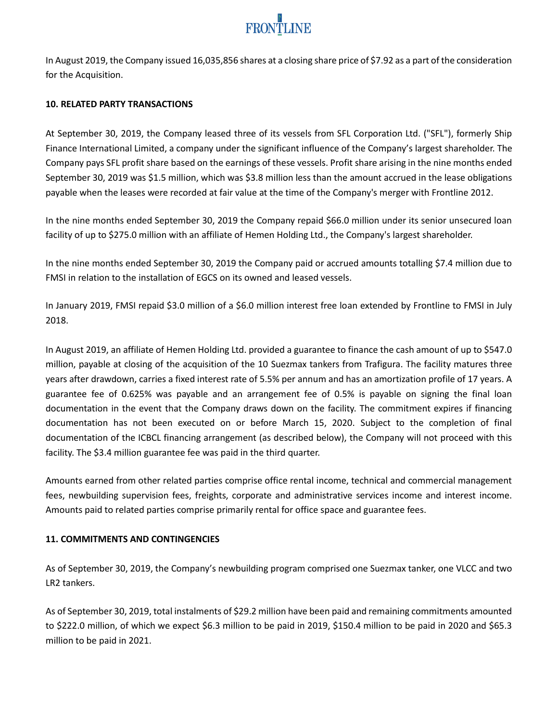

In August 2019, the Company issued 16,035,856 shares at a closing share price of \$7.92 as a part of the consideration for the Acquisition.

#### **10. RELATED PARTY TRANSACTIONS**

At September 30, 2019, the Company leased three of its vessels from SFL Corporation Ltd. ("SFL"), formerly Ship Finance International Limited, a company under the significant influence of the Company's largest shareholder. The Company pays SFL profit share based on the earnings of these vessels. Profit share arising in the nine months ended September 30, 2019 was \$1.5 million, which was \$3.8 million less than the amount accrued in the lease obligations payable when the leases were recorded at fair value at the time of the Company's merger with Frontline 2012.

In the nine months ended September 30, 2019 the Company repaid \$66.0 million under its senior unsecured loan facility of up to \$275.0 million with an affiliate of Hemen Holding Ltd., the Company's largest shareholder.

In the nine months ended September 30, 2019 the Company paid or accrued amounts totalling \$7.4 million due to FMSI in relation to the installation of EGCS on its owned and leased vessels.

In January 2019, FMSI repaid \$3.0 million of a \$6.0 million interest free loan extended by Frontline to FMSI in July 2018.

In August 2019, an affiliate of Hemen Holding Ltd. provided a guarantee to finance the cash amount of up to \$547.0 million, payable at closing of the acquisition of the 10 Suezmax tankers from Trafigura. The facility matures three years after drawdown, carries a fixed interest rate of 5.5% per annum and has an amortization profile of 17 years. A guarantee fee of 0.625% was payable and an arrangement fee of 0.5% is payable on signing the final loan documentation in the event that the Company draws down on the facility. The commitment expires if financing documentation has not been executed on or before March 15, 2020. Subject to the completion of final documentation of the ICBCL financing arrangement (as described below), the Company will not proceed with this facility. The \$3.4 million guarantee fee was paid in the third quarter.

Amounts earned from other related parties comprise office rental income, technical and commercial management fees, newbuilding supervision fees, freights, corporate and administrative services income and interest income. Amounts paid to related parties comprise primarily rental for office space and guarantee fees.

#### **11. COMMITMENTS AND CONTINGENCIES**

As of September 30, 2019, the Company's newbuilding program comprised one Suezmax tanker, one VLCC and two LR2 tankers.

As of September 30, 2019, total instalments of \$29.2 million have been paid and remaining commitments amounted to \$222.0 million, of which we expect \$6.3 million to be paid in 2019, \$150.4 million to be paid in 2020 and \$65.3 million to be paid in 2021.